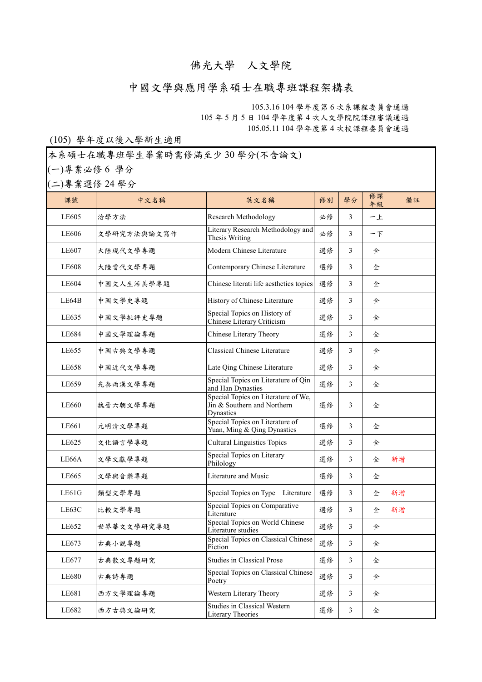## 佛光大學 人文學院

## 中國文學與應用學系碩士在職專班課程架構表

105.3.16 104 學年度第 6 次系課程委員會通過 105 年 5 月 5 日 104 學年度第 4 次人文學院院課程審議通過 105.05.11 104 學年度第 4 次校課程委員會通過

## (105) 學年度以後入學新生適用

本系碩士在職專班學生畢業時需修滿至少 30 學分(不含論文)

(一)專業必修 6 學分

(二)專業選修 24 學分

| ノリ ハベング・コー |             |                                                                                 |    |                |          |    |
|------------|-------------|---------------------------------------------------------------------------------|----|----------------|----------|----|
| 課號         | 中文名稱        | 英文名稱                                                                            | 修別 | 學分             | 修課<br>年級 | 備註 |
| LE605      | 治學方法        | Research Methodology                                                            | 必修 | 3              | 一上       |    |
| LE606      | 文學研究方法與論文寫作 | Literary Research Methodology and<br>Thesis Writing                             | 必修 | 3              | 一下       |    |
| LE607      | 大陸現代文學專題    | Modern Chinese Literature                                                       | 選修 | 3              | 全        |    |
| LE608      | 大陸當代文學專題    | Contemporary Chinese Literature                                                 | 選修 | 3              | 全        |    |
| LE604      | 中國文人生活美學專題  | Chinese literati life aesthetics topics                                         | 選修 | 3              | 全        |    |
| LE64B      | 中國文學史專題     | History of Chinese Literature                                                   | 選修 | 3              | 全        |    |
| LE635      | 中國文學批評史專題   | Special Topics on History of<br>Chinese Literary Criticism                      | 選修 | 3              | 全        |    |
| LE684      | 中國文學理論專題    | Chinese Literary Theory                                                         | 選修 | 3              | 全        |    |
| LE655      | 中國古典文學專題    | <b>Classical Chinese Literature</b>                                             | 選修 | 3              | 全        |    |
| LE658      | 中國近代文學專題    | Late Qing Chinese Literature                                                    | 選修 | 3              | 全        |    |
| LE659      | 先秦兩漢文學專題    | Special Topics on Literature of Qin<br>and Han Dynasties                        | 選修 | 3              | 全        |    |
| LE660      | 魏晉六朝文學專題    | Special Topics on Literature of We,<br>Jin & Southern and Northern<br>Dynasties | 選修 | 3              | 全        |    |
| LE661      | 元明清文學專題     | Special Topics on Literature of<br>Yuan, Ming & Qing Dynasties                  | 選修 | 3              | 全        |    |
| LE625      | 文化語言學專題     | <b>Cultural Linguistics Topics</b>                                              | 選修 | 3              | 全        |    |
| LE66A      | 文學文獻學專題     | Special Topics on Literary<br>Philology                                         | 選修 | 3              | 全        | 新增 |
| LE665      | 文學與音樂專題     | Literature and Music                                                            | 選修 | 3              | 全        |    |
| LE61G      | 類型文學專題      | Special Topics on Type Literature                                               | 選修 | 3              | 全        | 新增 |
| LE63C      | 比較文學專題      | <b>Special Topics on Comparative</b><br>Literature                              | 選修 | 3              | 全        | 新增 |
| LE652      | 世界華文文學研究專題  | Special Topics on World Chinese<br>Literature studies                           | 選修 | 3              | 全        |    |
| LE673      | 古典小說專題      | Special Topics on Classical Chinese<br>Fiction                                  | 選修 | 3              | 全        |    |
| LE677      | 古典散文專題研究    | Studies in Classical Prose                                                      | 選修 | 3              | 全        |    |
| LE680      | 古典詩專題       | Special Topics on Classical Chinese<br>Poetry                                   | 選修 | 3              | 全        |    |
| LE681      | 西方文學理論專題    | Western Literary Theory                                                         | 選修 | $\mathfrak{Z}$ | 全        |    |
| LE682      | 西方古典文論研究    | <b>Studies in Classical Western</b><br><b>Literary Theories</b>                 | 選修 | $\mathfrak{Z}$ | 全        |    |